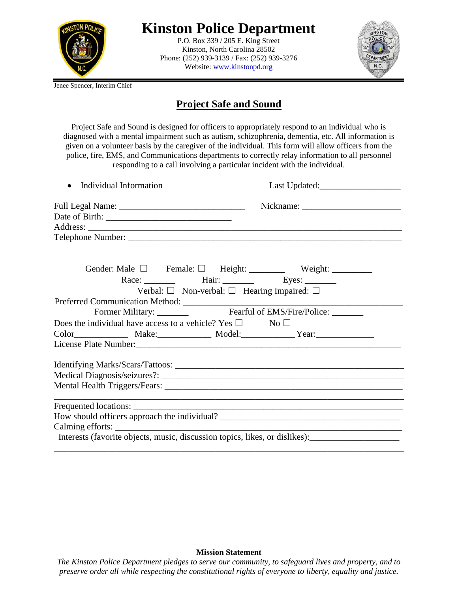

## **Kinston Police Department**

P.O. Box 339 / 205 E. King Street Kinston, North Carolina 28502 Phone: (252) 939-3139 / Fax: (252) 939-3276 Website: [www.kinstonpd.org](http://www.kinstonpd.org/)



Jenee Spencer, Interim Chief

## **Project Safe and Sound**

Project Safe and Sound is designed for officers to appropriately respond to an individual who is diagnosed with a mental impairment such as autism, schizophrenia, dementia, etc. All information is given on a volunteer basis by the caregiver of the individual. This form will allow officers from the police, fire, EMS, and Communications departments to correctly relay information to all personnel responding to a call involving a particular incident with the individual.

| • Individual Information                                                 |                                                            |                                                                             |
|--------------------------------------------------------------------------|------------------------------------------------------------|-----------------------------------------------------------------------------|
|                                                                          |                                                            |                                                                             |
|                                                                          |                                                            |                                                                             |
|                                                                          |                                                            |                                                                             |
|                                                                          |                                                            |                                                                             |
|                                                                          |                                                            | Gender: Male $\square$ Female: $\square$ Height: Weight: Weight:            |
|                                                                          |                                                            | Race: Hair: Eyes:                                                           |
|                                                                          | Verbal: $\Box$ Non-verbal: $\Box$ Hearing Impaired: $\Box$ |                                                                             |
|                                                                          |                                                            |                                                                             |
|                                                                          |                                                            |                                                                             |
| Does the individual have access to a vehicle? Yes $\square$ No $\square$ |                                                            |                                                                             |
|                                                                          |                                                            |                                                                             |
|                                                                          |                                                            |                                                                             |
|                                                                          |                                                            |                                                                             |
|                                                                          |                                                            |                                                                             |
|                                                                          |                                                            |                                                                             |
|                                                                          |                                                            |                                                                             |
|                                                                          |                                                            |                                                                             |
|                                                                          |                                                            |                                                                             |
|                                                                          |                                                            | Interests (favorite objects, music, discussion topics, likes, or dislikes): |

## **Mission Statement**

*The Kinston Police Department pledges to serve our community, to safeguard lives and property, and to preserve order all while respecting the constitutional rights of everyone to liberty, equality and justice.*